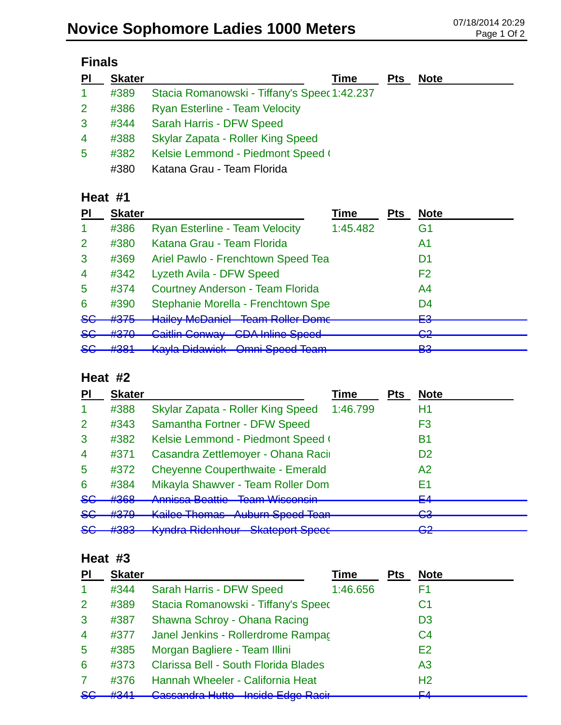| $\overline{\mathsf{PL}}$ | <b>Skater</b> | Time                                         | <b>Pts</b> | <b>Note</b> |
|--------------------------|---------------|----------------------------------------------|------------|-------------|
| $\blacktriangleleft$     | #389          | Stacia Romanowski - Tiffany's Speec 1:42.237 |            |             |
| 2 <sup>1</sup>           | #386          | <b>Ryan Esterline - Team Velocity</b>        |            |             |
| 3                        | #344          | Sarah Harris - DFW Speed                     |            |             |
| 4                        | #388          | Skylar Zapata - Roller King Speed            |            |             |
| 5                        | #382          | Kelsie Lemmond - Piedmont Speed (            |            |             |
|                          | #380          | Katana Grau - Team Florida                   |            |             |

## **Heat #1**

| PI             | <b>Skater</b>        |                                                                                  | Time     | <b>Pts</b> | <b>Note</b>                   |
|----------------|----------------------|----------------------------------------------------------------------------------|----------|------------|-------------------------------|
| -1             | #386                 | <b>Ryan Esterline - Team Velocity</b>                                            | 1:45.482 |            | G1                            |
| $\overline{2}$ | #380                 | Katana Grau - Team Florida                                                       |          |            | A1                            |
| 3              | #369                 | Ariel Pawlo - Frenchtown Speed Tea                                               |          |            | D1                            |
| $\overline{4}$ | #342                 | Lyzeth Avila - DFW Speed                                                         |          |            | F <sub>2</sub>                |
| $\overline{5}$ | #374                 | <b>Courtney Anderson - Team Florida</b>                                          |          |            | A4                            |
| 6              | #390                 | Stephanie Morella - Frenchtown Spe                                               |          |            | D4                            |
| $86$           | #375                 | Hoiley McDaniel Toam Poller Dame<br>דומווט שטואר זי<br><u>TUANTI NUNUT DUNIN</u> |          |            | cΩ<br>⊏⊽                      |
| <del>SG</del>  | #370                 | <b>Caitlin Conway CDA Inline Speed</b>                                           |          |            | ററ<br>$\overline{\mathbf{z}}$ |
| <del>SG</del>  | $H2$ 04<br>$\pi$ JUT | Kayla Didawick Omni Speed Team                                                   |          |            | <b>DO</b><br>ဟ                |

## **Heat #2**

| PI             | <b>Skater</b> |                                                                                         | Time     | <b>Pts</b> | <b>Note</b>    |
|----------------|---------------|-----------------------------------------------------------------------------------------|----------|------------|----------------|
|                | #388          | Skylar Zapata - Roller King Speed                                                       | 1:46.799 |            | H1             |
| 2              | #343          | Samantha Fortner - DFW Speed                                                            |          |            | F3             |
| 3              | #382          | Kelsie Lemmond - Piedmont Speed (                                                       |          |            | В1             |
| $\overline{4}$ | #371          | Casandra Zettlemoyer - Ohana Racir                                                      |          |            | D <sub>2</sub> |
| 5              | #372          | <b>Cheyenne Couperthwaite - Emerald</b>                                                 |          |            | A2             |
| 6              | #384          | Mikayla Shawver - Team Roller Dom                                                       |          |            | E1             |
| 8 <sub>6</sub> | #368          | Annicco Roottio Toom Wicconsin<br><u>Tumnood Doduuo</u><br><u>TUCHTT VYIOUUTUITI</u>    |          |            | ᆮ<br>⊏⊐        |
| <del>SG</del>  | #379          | Kailee Themse Auburn Speed Toon<br><u>Tiguani Opoca Tuan</u><br><b>INAIRCO THROHIQO</b> |          |            | റാ<br>▽▽       |
| <del>S€</del>  | 4000          | Kindra Didonhour Chatanort Chooc                                                        |          |            | ⌒∩             |
|                | ᡣᠸᡃᠦ          | <del>Undiupont Upout</del><br><del>nynura muonnour</del>                                |          |            | ॼॾ             |

## **Heat #3**

| PI             | <b>Skater</b> |                                      | Time     | <b>Pts</b> | <b>Note</b>    |  |
|----------------|---------------|--------------------------------------|----------|------------|----------------|--|
| -1             | #344          | Sarah Harris - DFW Speed             | 1:46.656 |            | F1             |  |
| 2              | #389          | Stacia Romanowski - Tiffany's Speed  |          |            | C1             |  |
| 3              | #387          | Shawna Schroy - Ohana Racing         |          |            | D <sub>3</sub> |  |
| $\overline{4}$ | #377          | Janel Jenkins - Rollerdrome Rampac   |          |            | C <sub>4</sub> |  |
| 5              | #385          | Morgan Bagliere - Team Illini        |          |            | E <sub>2</sub> |  |
| 6              | #373          | Clarissa Bell - South Florida Blades |          |            | A <sub>3</sub> |  |
| 7              | #376          | Hannah Wheeler - California Heat     |          |            | H <sub>2</sub> |  |
| 8 <sub>G</sub> | H2A1          | Cassandra Hutto - Inside Edge Racir  |          |            | EЛ             |  |